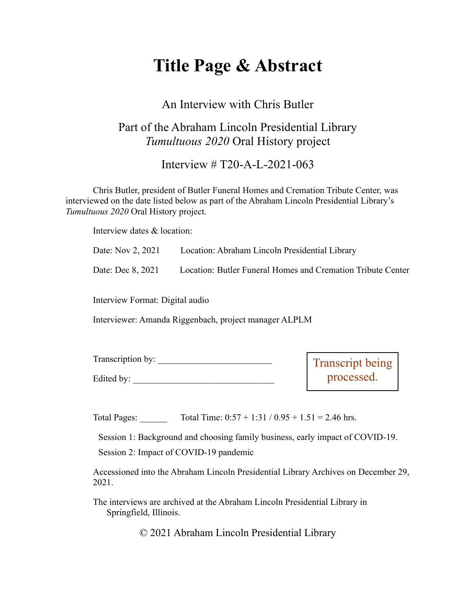# **Title Page & Abstract**

#### An Interview with Chris Butler

### Part of the Abraham Lincoln Presidential Library *Tumultuous 2020* Oral History project

Interview # T20-A-L-2021-063

Chris Butler, president of Butler Funeral Homes and Cremation Tribute Center, was interviewed on the date listed below as part of the Abraham Lincoln Presidential Library's *Tumultuous 2020* Oral History project.

Interview dates & location:

| Date: Nov 2, 2021 | Location: Abraham Lincoln Presidential Library                                |
|-------------------|-------------------------------------------------------------------------------|
|                   | Date: Dec 8, 2021 Location: Butler Funeral Homes and Cremation Tribute Center |
|                   |                                                                               |

Interview Format: Digital audio

Interviewer: Amanda Riggenbach, project manager ALPLM

| Transcription by: | Transcript being |
|-------------------|------------------|
| Edited by:        | processed.       |

Total Pages: Total Time:  $0:57 + 1:31 / 0.95 + 1.51 = 2.46$  hrs.

Session 1: Background and choosing family business, early impact of COVID-19.

Session 2: Impact of COVID-19 pandemic

Accessioned into the Abraham Lincoln Presidential Library Archives on December 29, 2021.

The interviews are archived at the Abraham Lincoln Presidential Library in Springfield, Illinois.

© 2021 Abraham Lincoln Presidential Library